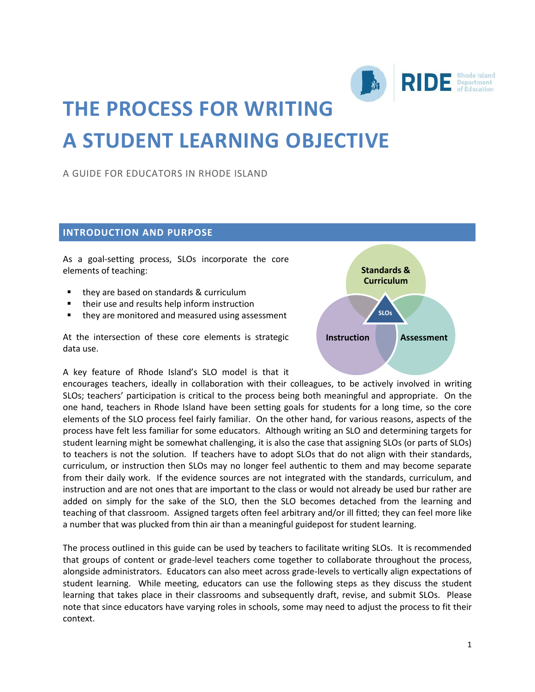

# **THE PROCESS FOR WRITING A STUDENT LEARNING OBJECTIVE**

A GUIDE FOR EDUCATORS IN RHODE ISLAND

# **INTRODUCTION AND PURPOSE**

As a goal-setting process, SLOs incorporate the core elements of teaching:

- they are based on standards & curriculum
- **their use and results help inform instruction**
- they are monitored and measured using assessment

At the intersection of these core elements is strategic data use.



A key feature of Rhode Island's SLO model is that it

encourages teachers, ideally in collaboration with their colleagues, to be actively involved in writing SLOs; teachers' participation is critical to the process being both meaningful and appropriate. On the one hand, teachers in Rhode Island have been setting goals for students for a long time, so the core elements of the SLO process feel fairly familiar. On the other hand, for various reasons, aspects of the process have felt less familiar for some educators. Although writing an SLO and determining targets for student learning might be somewhat challenging, it is also the case that assigning SLOs (or parts of SLOs) to teachers is not the solution. If teachers have to adopt SLOs that do not align with their standards, curriculum, or instruction then SLOs may no longer feel authentic to them and may become separate from their daily work. If the evidence sources are not integrated with the standards, curriculum, and instruction and are not ones that are important to the class or would not already be used bur rather are added on simply for the sake of the SLO, then the SLO becomes detached from the learning and teaching of that classroom. Assigned targets often feel arbitrary and/or ill fitted; they can feel more like a number that was plucked from thin air than a meaningful guidepost for student learning.

The process outlined in this guide can be used by teachers to facilitate writing SLOs. It is recommended that groups of content or grade-level teachers come together to collaborate throughout the process, alongside administrators. Educators can also meet across grade-levels to vertically align expectations of student learning. While meeting, educators can use the following steps as they discuss the student learning that takes place in their classrooms and subsequently draft, revise, and submit SLOs. Please note that since educators have varying roles in schools, some may need to adjust the process to fit their context.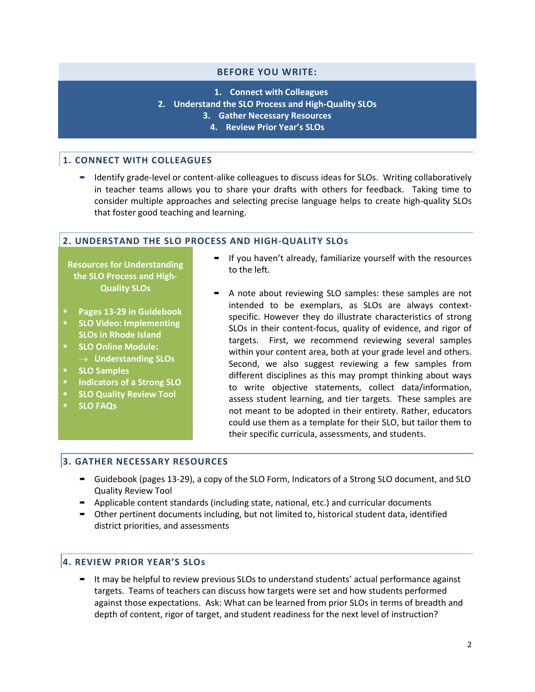#### **BEFORE YOU WRITE:**

**1. Connect with Colleagues**

- **2. Understand the SLO Process and High-Quality SLOs**
	- **3. Gather Necessary Resources**
		- **4. Review Prior Year's SLOs**

#### **1. CONNECT WITH COLLEAGUES**

■ Identify grade-level or content-alike colleagues to discuss ideas for SLOs. Writing collaboratively in teacher teams allows you to share your drafts with others for feedback. Taking time to consider multiple approaches and selecting precise language helps to create high-quality SLOs that foster good teaching and learning.

#### **2. UNDERSTAND THE SLO PROCESS AND HIGH-QUALITY SLOs**

**Resources for Understanding the SLO Process and High-Quality SLOs**

- **Pages 13-29 in Guidebook**
- **SLO Video: Implementing SLOs in Rhode Island**
- **SLO Online Module:**
- **Understanding SLOs**
- **SLO Samples**
- **Indicators of a Strong SLO**
- **SLO Quality Review Tool**
- **SLO FAQs**
- $\rightarrow$  If you haven't already, familiarize yourself with the resources to the left.
- A note about reviewing SLO samples: these samples are not intended to be exemplars, as SLOs are always contextspecific. However they do illustrate characteristics of strong SLOs in their content-focus, quality of evidence, and rigor of targets. First, we recommend reviewing several samples within your content area, both at your grade level and others. Second, we also suggest reviewing a few samples from different disciplines as this may prompt thinking about ways to write objective statements, collect data/information, assess student learning, and tier targets. These samples are not meant to be adopted in their entirety. Rather, educators could use them as a template for their SLO, but tailor them to their specific curricula, assessments, and students.

#### **3. GATHER NECESSARY RESOURCES**

- Guidebook (pages 13-29), a copy of the SLO Form, Indicators of a Strong SLO document, and SLO Quality Review Tool
- Applicable content standards (including state, national, etc.) and curricular documents
- Other pertinent documents including, but not limited to, historical student data, identified district priorities, and assessments

# **4. REVIEW PRIOR YEAR'S SLOs**

 It may be helpful to review previous SLOs to understand students' actual performance against targets. Teams of teachers can discuss how targets were set and how students performed against those expectations. Ask: What can be learned from prior SLOs in terms of breadth and depth of content, rigor of target, and student readiness for the next level of instruction?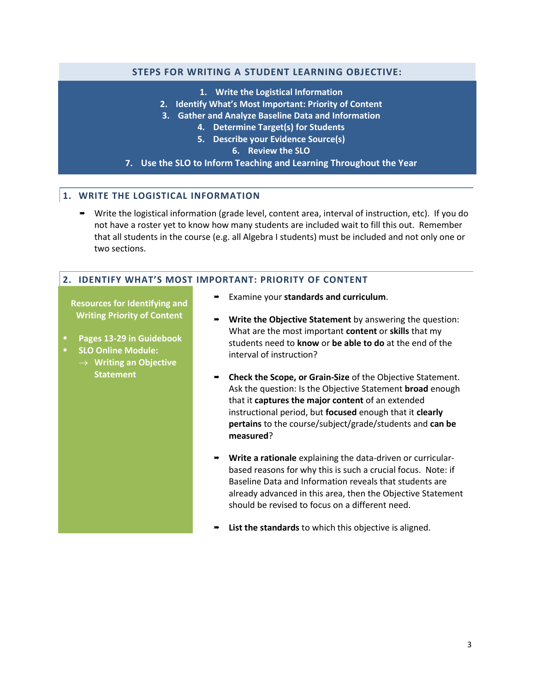# **STEPS FOR WRITING A STUDENT LEARNING OBJECTIVE:**

- **1. Write the Logistical Information**
- **2. Identify What's Most Important: Priority of Content**
- **3. Gather and Analyze Baseline Data and Information**
	- **4. Determine Target(s) for Students**
	- **5. Describe your Evidence Source(s)**
		- **6. Review the SLO**
- **7. Use the SLO to Inform Teaching and Learning Throughout the Year**

# **1. WRITE THE LOGISTICAL INFORMATION**

 Write the logistical information (grade level, content area, interval of instruction, etc). If you do not have a roster yet to know how many students are included wait to fill this out. Remember that all students in the course (e.g. all Algebra I students) must be included and not only one or two sections.

## **2. IDENTIFY WHAT'S MOST IMPORTANT: PRIORITY OF CONTENT**

**Resources for Identifying and Writing Priority of Content**

- **Pages 13-29 in Guidebook**
- **SLO Online Module:** 
	- **Writing an Objective Statement**
- Examine your **standards and curriculum**.
- **Write the Objective Statement** by answering the question: What are the most important **content** or **skills** that my students need to **know** or **be able to do** at the end of the interval of instruction?
- **Check the Scope, or Grain-Size** of the Objective Statement. Ask the question: Is the Objective Statement **broad** enough that it **captures the major content** of an extended instructional period, but **focused** enough that it **clearly pertains** to the course/subject/grade/students and **can be measured**?
- **Write a rationale** explaining the data-driven or curricularbased reasons for why this is such a crucial focus. Note: if Baseline Data and Information reveals that students are already advanced in this area, then the Objective Statement should be revised to focus on a different need.
- **List the standards** to which this objective is aligned.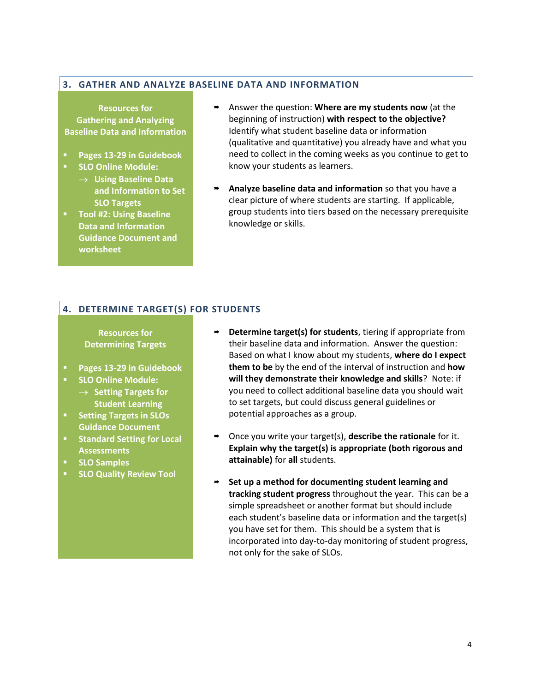#### **3. GATHER AND ANALYZE BASELINE DATA AND INFORMATION**

**Resources for Gathering and Analyzing Baseline Data and Information**

- **Pages 13-29 in Guidebook**
- **SLO Online Module:** 
	- **Using Baseline Data and Information to Set SLO Targets**
- **Tool #2: Using Baseline Data and Information Guidance Document and worksheet**
- Answer the question: **Where are my students now** (at the beginning of instruction) **with respect to the objective?**  Identify what student baseline data or information (qualitative and quantitative) you already have and what you need to collect in the coming weeks as you continue to get to know your students as learners.
- **Analyze baseline data and information** so that you have a clear picture of where students are starting. If applicable, group students into tiers based on the necessary prerequisite knowledge or skills.

# **4. DETERMINE TARGET(S) FOR STUDENTS**

**Resources for Determining Targets**

- **Pages 13-29 in Guidebook**
- **SLO Online Module:** 
	- $\rightarrow$  **Setting Targets for Student Learning**
- **Setting Targets in SLOs Guidance Document**
- **Standard Setting for Local Assessments**
- **SLO Samples**
- **SLO Quality Review Tool**
- **Determine target(s) for students**, tiering if appropriate from their baseline data and information. Answer the question: Based on what I know about my students, **where do I expect them to be** by the end of the interval of instruction and **how will they demonstrate their knowledge and skills**? Note: if you need to collect additional baseline data you should wait to set targets, but could discuss general guidelines or potential approaches as a group.
- Once you write your target(s), **describe the rationale** for it. **Explain why the target(s) is appropriate (both rigorous and attainable)** for **all** students.
- **Set up a method for documenting student learning and tracking student progress** throughout the year. This can be a simple spreadsheet or another format but should include each student's baseline data or information and the target(s) you have set for them. This should be a system that is incorporated into day-to-day monitoring of student progress, not only for the sake of SLOs.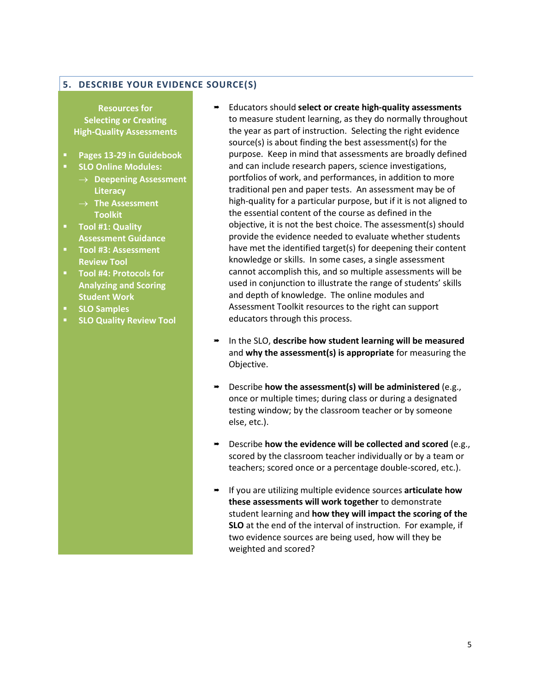# **5. DESCRIBE YOUR EVIDENCE SOURCE(S)**

**Resources for Selecting or Creating High-Quality Assessments**

- **Pages 13-29 in Guidebook**
- **SLO Online Modules:** 
	- **Deepening Assessment Literacy**
	- **The Assessment Toolkit**
- **Tool #1: Quality Assessment Guidance**
- **Tool #3: Assessment Review Tool**
- **Tool #4: Protocols for Analyzing and Scoring Student Work**
- **SLO Samples**
- **SLO Quality Review Tool**
- Educators should **select or create high-quality assessments** to measure student learning, as they do normally throughout the year as part of instruction. Selecting the right evidence source(s) is about finding the best assessment(s) for the purpose. Keep in mind that assessments are broadly defined and can include research papers, science investigations, portfolios of work, and performances, in addition to more traditional pen and paper tests. An assessment may be of high-quality for a particular purpose, but if it is not aligned to the essential content of the course as defined in the objective, it is not the best choice. The assessment(s) should provide the evidence needed to evaluate whether students have met the identified target(s) for deepening their content knowledge or skills. In some cases, a single assessment cannot accomplish this, and so multiple assessments will be used in conjunction to illustrate the range of students' skills and depth of knowledge. The online modules and Assessment Toolkit resources to the right can support educators through this process.
- In the SLO, **describe how student learning will be measured** and **why the assessment(s) is appropriate** for measuring the Objective.
- Describe **how the assessment(s) will be administered** (e.g., once or multiple times; during class or during a designated testing window; by the classroom teacher or by someone else, etc.).
- Describe **how the evidence will be collected and scored** (e.g., scored by the classroom teacher individually or by a team or teachers; scored once or a percentage double-scored, etc.).
- If you are utilizing multiple evidence sources **articulate how these assessments will work together** to demonstrate student learning and **how they will impact the scoring of the SLO** at the end of the interval of instruction. For example, if two evidence sources are being used, how will they be weighted and scored?